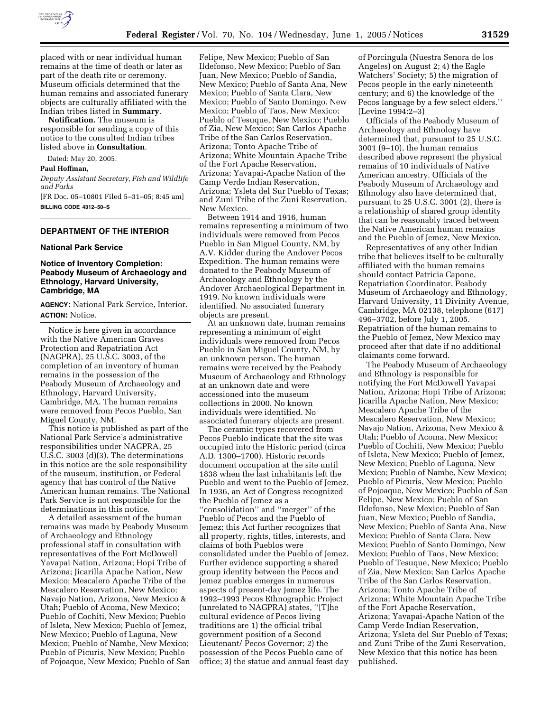

placed with or near individual human remains at the time of death or later as part of the death rite or ceremony. Museum officials determined that the human remains and associated funerary objects are culturally affiliated with the Indian tribes listed in **Summary**.

**Notification.** The museum is responsible for sending a copy of this notice to the consulted Indian tribes listed above in **Consultation**.

Dated: May 20, 2005.

## **Paul Hoffman,**

*Deputy Assistant Secretary, Fish and Wildlife and Parks*

[FR Doc. 05–10801 Filed 5–31–05; 8:45 am] **BILLING CODE 4312–50–S**

## **DEPARTMENT OF THE INTERIOR**

#### **National Park Service**

## **Notice of Inventory Completion: Peabody Museum of Archaeology and Ethnology, Harvard University, Cambridge, MA**

**AGENCY:** National Park Service, Interior. **ACTION:** Notice.

Notice is here given in accordance with the Native American Graves Protection and Repatriation Act (NAGPRA), 25 U.S.C. 3003, of the completion of an inventory of human remains in the possession of the Peabody Museum of Archaeology and Ethnology, Harvard University, Cambridge, MA. The human remains were removed from Pecos Pueblo, San Miguel County, NM.

This notice is published as part of the National Park Service's administrative responsibilities under NAGPRA, 25 U.S.C. 3003 (d)(3). The determinations in this notice are the sole responsibility of the museum, institution, or Federal agency that has control of the Native American human remains. The National Park Service is not responsible for the determinations in this notice.

A detailed assessment of the human remains was made by Peabody Museum of Archaeology and Ethnology professional staff in consultation with representatives of the Fort McDowell Yavapai Nation, Arizona; Hopi Tribe of Arizona; Jicarilla Apache Nation, New Mexico; Mescalero Apache Tribe of the Mescalero Reservation, New Mexico; Navajo Nation, Arizona, New Mexico & Utah; Pueblo of Acoma, New Mexico; Pueblo of Cochiti, New Mexico; Pueblo of Isleta, New Mexico; Pueblo of Jemez, New Mexico; Pueblo of Laguna, New Mexico; Pueblo of Nambe, New Mexico; Pueblo of Picuris, New Mexico; Pueblo of Pojoaque, New Mexico; Pueblo of San

Felipe, New Mexico; Pueblo of San Ildefonso, New Mexico; Pueblo of San Juan, New Mexico; Pueblo of Sandia, New Mexico; Pueblo of Santa Ana, New Mexico; Pueblo of Santa Clara, New Mexico; Pueblo of Santo Domingo, New Mexico; Pueblo of Taos, New Mexico; Pueblo of Tesuque, New Mexico; Pueblo of Zia, New Mexico; San Carlos Apache Tribe of the San Carlos Reservation, Arizona; Tonto Apache Tribe of Arizona; White Mountain Apache Tribe of the Fort Apache Reservation, Arizona; Yavapai-Apache Nation of the Camp Verde Indian Reservation, Arizona; Ysleta del Sur Pueblo of Texas; and Zuni Tribe of the Zuni Reservation, New Mexico.

Between 1914 and 1916, human remains representing a minimum of two individuals were removed from Pecos Pueblo in San Miguel County, NM, by A.V. Kidder during the Andover Pecos Expedition. The human remains were donated to the Peabody Museum of Archaeology and Ethnology by the Andover Archaeological Department in 1919. No known individuals were identified. No associated funerary objects are present.

At an unknown date, human remains representing a minimum of eight individuals were removed from Pecos Pueblo in San Miguel County, NM, by an unknown person. The human remains were received by the Peabody Museum of Archaeology and Ethnology at an unknown date and were accessioned into the museum collections in 2000. No known individuals were identified. No associated funerary objects are present.

The ceramic types recovered from Pecos Pueblo indicate that the site was occupied into the Historic period (circa A.D. 1300–1700). Historic records document occupation at the site until 1838 when the last inhabitants left the Pueblo and went to the Pueblo of Jemez. In 1936, an Act of Congress recognized the Pueblo of Jemez as a ''consolidation'' and ''merger'' of the Pueblo of Pecos and the Pueblo of Jemez; this Act further recognizes that all property, rights, titles, interests, and claims of both Pueblos were consolidated under the Pueblo of Jemez. Further evidence supporting a shared group identity between the Pecos and Jemez pueblos emerges in numerous aspects of present-day Jemez life. The 1992–1993 Pecos Ethnographic Project (unrelated to NAGPRA) states, ''[T]he cultural evidence of Pecos living traditions are 1) the official tribal government position of a Second Lieutenant/ Pecos Governor; 2) the possession of the Pecos Pueblo cane of office; 3) the statue and annual feast day

of Porcingula (Nuestra Senora de los Angeles) on August 2; 4) the Eagle Watchers' Society; 5) the migration of Pecos people in the early nineteenth century; and 6) the knowledge of the Pecos language by a few select elders." (Levine 1994:2–3)

Officials of the Peabody Museum of Archaeology and Ethnology have determined that, pursuant to 25 U.S.C. 3001 (9–10), the human remains described above represent the physical remains of 10 individuals of Native American ancestry. Officials of the Peabody Museum of Archaeology and Ethnology also have determined that, pursuant to 25 U.S.C. 3001 (2), there is a relationship of shared group identity that can be reasonably traced between the Native American human remains and the Pueblo of Jemez, New Mexico.

Representatives of any other Indian tribe that believes itself to be culturally affiliated with the human remains should contact Patricia Capone, Repatriation Coordinator, Peabody Museum of Archaeology and Ethnology, Harvard University, 11 Divinity Avenue, Cambridge, MA 02138, telephone (617) 496–3702, before July 1, 2005. Repatriation of the human remains to the Pueblo of Jemez, New Mexico may proceed after that date if no additional claimants come forward.

The Peabody Museum of Archaeology and Ethnology is responsible for notifying the Fort McDowell Yavapai Nation, Arizona; Hopi Tribe of Arizona; Jicarilla Apache Nation, New Mexico; Mescalero Apache Tribe of the Mescalero Reservation, New Mexico; Navajo Nation, Arizona, New Mexico & Utah; Pueblo of Acoma, New Mexico; Pueblo of Cochiti, New Mexico; Pueblo of Isleta, New Mexico; Pueblo of Jemez, New Mexico; Pueblo of Laguna, New Mexico; Pueblo of Nambe, New Mexico; Pueblo of Picuris, New Mexico; Pueblo of Pojoaque, New Mexico; Pueblo of San Felipe, New Mexico; Pueblo of San Ildefonso, New Mexico; Pueblo of San Juan, New Mexico; Pueblo of Sandia, New Mexico; Pueblo of Santa Ana, New Mexico; Pueblo of Santa Clara, New Mexico; Pueblo of Santo Domingo, New Mexico; Pueblo of Taos, New Mexico; Pueblo of Tesuque, New Mexico; Pueblo of Zia, New Mexico; San Carlos Apache Tribe of the San Carlos Reservation, Arizona; Tonto Apache Tribe of Arizona; White Mountain Apache Tribe of the Fort Apache Reservation, Arizona; Yavapai-Apache Nation of the Camp Verde Indian Reservation, Arizona; Ysleta del Sur Pueblo of Texas; and Zuni Tribe of the Zuni Reservation, New Mexico that this notice has been published.